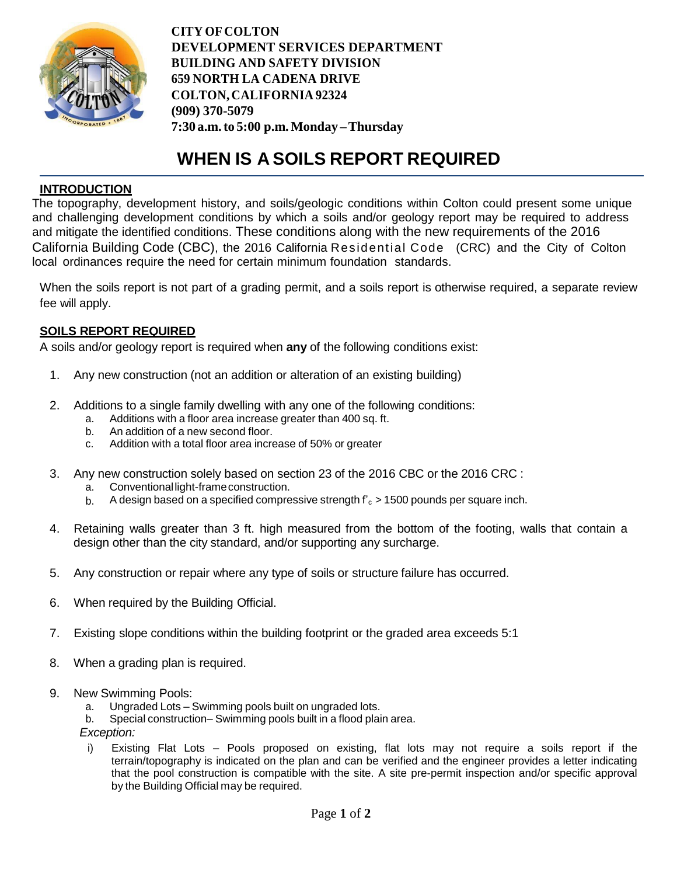

**CITY OF COLTON DEVELOPMENT SERVICES DEPARTMENT BUILDING AND SAFETY DIVISION 659 NORTH LA CADENA DRIVE COLTON, CALIFORNIA 92324 (909) 370-5079 7:30 a.m.to 5:00 p.m.Monday –Thursday**

# **WHEN IS A SOILS REPORT REQUIRED**

## **INTRODUCTION**

The topography, development history, and soils/geologic conditions within Colton could present some unique and challenging development conditions by which a soils and/or geology report may be required to address and mitigate the identified conditions. These conditions along with the new requirements of the 2016 California Building Code (CBC), the 2016 California Residential Code (CRC) and the City of Colton local ordinances require the need for certain minimum foundation standards.

When the soils report is not part of a grading permit, and a soils report is otherwise required, a separate review fee will apply.

#### **SOILS REPORT REQUIRED**

A soils and/or geology report is required when **any** of the following conditions exist:

- 1. Any new construction (not an addition or alteration of an existing building)
- 2. Additions to a single family dwelling with any one of the following conditions:
	- a. Additions with a floor area increase greater than 400 sq. ft.
	- b. An addition of a new second floor.
	- c. Addition with a total floor area increase of 50% or greater
- 3. Any new construction solely based on section 23 of the 2016 CBC or the 2016 CRC :
	- a. Conventionallight-frameconstruction.
	- b. A design based on a specified compressive strength  $f'_{c}$  > 1500 pounds per square inch.
- 4. Retaining walls greater than 3 ft. high measured from the bottom of the footing, walls that contain a design other than the city standard, and/or supporting any surcharge.
- 5. Any construction or repair where any type of soils or structure failure has occurred.
- 6. When required by the Building Official.
- 7. Existing slope conditions within the building footprint or the graded area exceeds 5:1
- 8. When a grading plan is required.
- 9. New Swimming Pools:
	- a. Ungraded Lots Swimming pools built on ungraded lots.
	- b. Special construction– Swimming pools built in a flood plain area.
	- *Exception:*
	- i) Existing Flat Lots Pools proposed on existing, flat lots may not require a soils report if the terrain/topography is indicated on the plan and can be verified and the engineer provides a letter indicating that the pool construction is compatible with the site. A site pre-permit inspection and/or specific approval by the Building Official may be required.